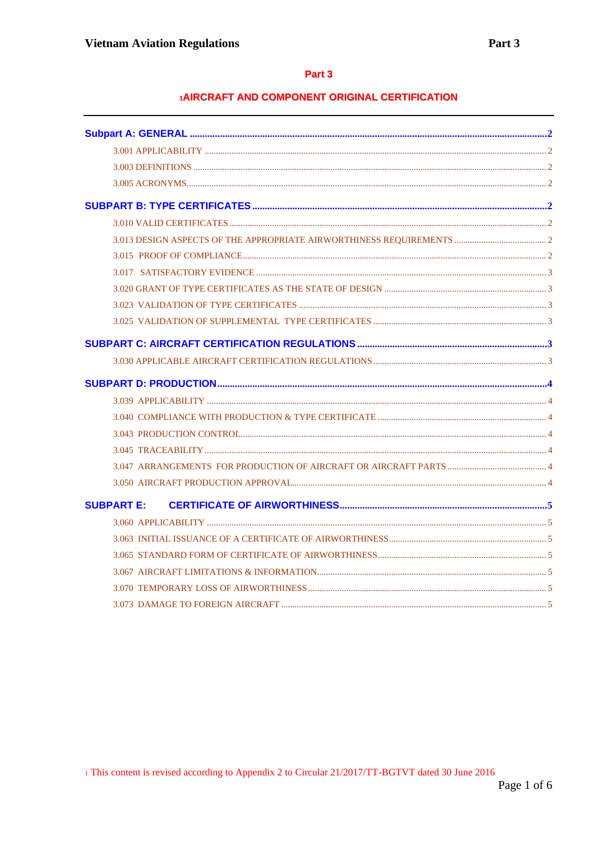# Part 3

# 1AIRCRAFT AND COMPONENT ORIGINAL CERTIFICATION

| <b>SUBPART E:</b> |  |
|-------------------|--|
|                   |  |
|                   |  |
|                   |  |
|                   |  |
|                   |  |
|                   |  |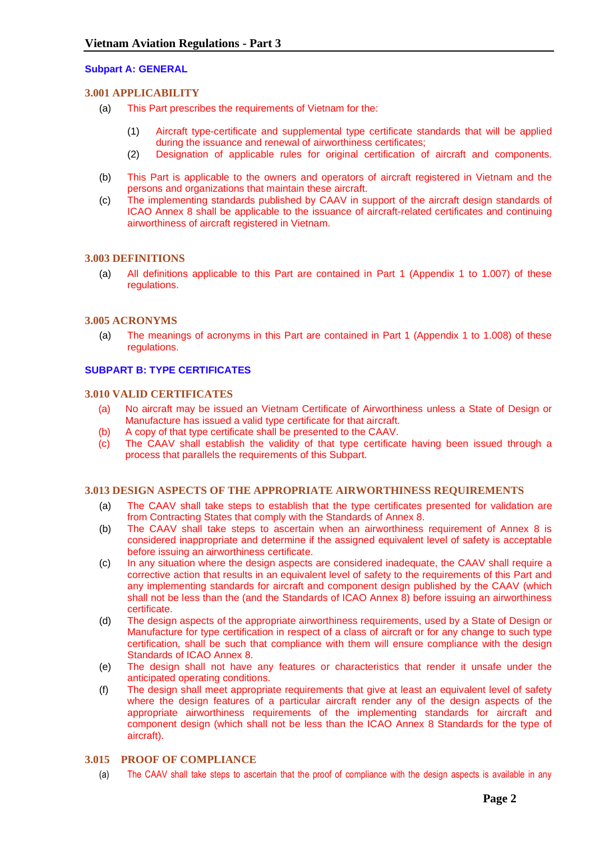# <span id="page-1-1"></span><span id="page-1-0"></span>**Subpart A: GENERAL**

# **3.001 APPLICABILITY**

- (a) This Part prescribes the requirements of Vietnam for the:
	- (1) Aircraft type-certificate and supplemental type certificate standards that will be applied during the issuance and renewal of airworthiness certificates;
	- (2) Designation of applicable rules for original certification of aircraft and components.
- (b) This Part is applicable to the owners and operators of aircraft registered in Vietnam and the persons and organizations that maintain these aircraft.
- (c) The implementing standards published by CAAV in support of the aircraft design standards of ICAO Annex 8 shall be applicable to the issuance of aircraft-related certificates and continuing airworthiness of aircraft registered in Vietnam.

## <span id="page-1-2"></span>**3.003 DEFINITIONS**

(a) All definitions applicable to this Part are contained in Part 1 (Appendix 1 to 1.007) of these regulations.

## <span id="page-1-3"></span>**3.005 ACRONYMS**

(a) The meanings of acronyms in this Part are contained in Part 1 (Appendix 1 to 1.008) of these regulations.

## <span id="page-1-5"></span><span id="page-1-4"></span>**SUBPART B: TYPE CERTIFICATES**

#### **3.010 VALID CERTIFICATES**

- (a) No aircraft may be issued an Vietnam Certificate of Airworthiness unless a State of Design or Manufacture has issued a valid type certificate for that aircraft.
- (b) A copy of that type certificate shall be presented to the CAAV.
- (c) The CAAV shall establish the validity of that type certificate having been issued through a process that parallels the requirements of this Subpart.

#### <span id="page-1-6"></span>**3.013 DESIGN ASPECTS OF THE APPROPRIATE AIRWORTHINESS REQUIREMENTS**

- (a) The CAAV shall take steps to establish that the type certificates presented for validation are from Contracting States that comply with the Standards of Annex 8.
- (b) The CAAV shall take steps to ascertain when an airworthiness requirement of Annex 8 is considered inappropriate and determine if the assigned equivalent level of safety is acceptable before issuing an airworthiness certificate.
- (c) In any situation where the design aspects are considered inadequate, the CAAV shall require a corrective action that results in an equivalent level of safety to the requirements of this Part and any implementing standards for aircraft and component design published by the CAAV (which shall not be less than the (and the Standards of ICAO Annex 8) before issuing an airworthiness certificate.
- (d) The design aspects of the appropriate airworthiness requirements, used by a State of Design or Manufacture for type certification in respect of a class of aircraft or for any change to such type certification, shall be such that compliance with them will ensure compliance with the design Standards of ICAO Annex 8.
- (e) The design shall not have any features or characteristics that render it unsafe under the anticipated operating conditions.
- (f) The design shall meet appropriate requirements that give at least an equivalent level of safety where the design features of a particular aircraft render any of the design aspects of the appropriate airworthiness requirements of the implementing standards for aircraft and component design (which shall not be less than the ICAO Annex 8 Standards for the type of aircraft).

# <span id="page-1-7"></span>**3.015 PROOF OF COMPLIANCE**

(a) The CAAV shall take steps to ascertain that the proof of compliance with the design aspects is available in any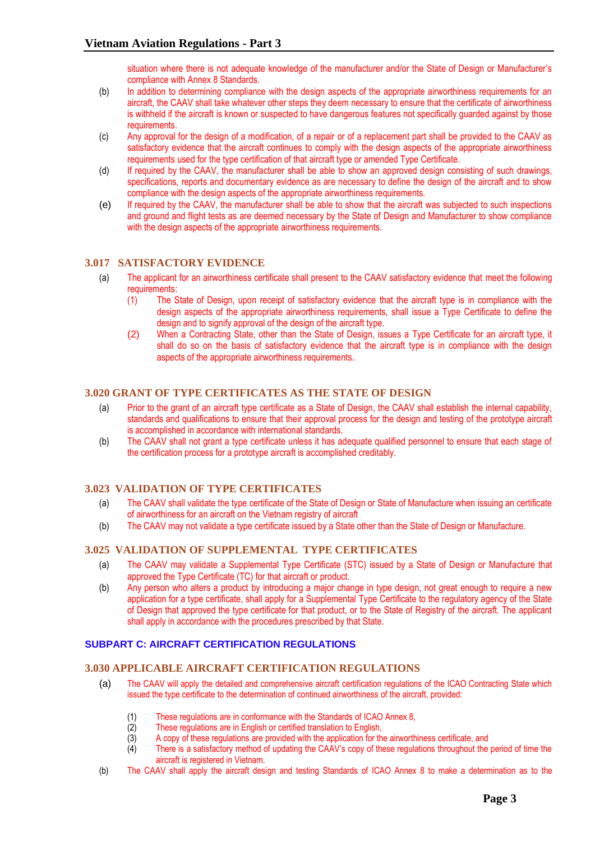situation where there is not adequate knowledge of the manufacturer and/or the State of Design or Manufacturer's compliance with Annex 8 Standards.

- (b) In addition to determining compliance with the design aspects of the appropriate airworthiness requirements for an aircraft, the CAAV shall take whatever other steps they deem necessary to ensure that the certificate of airworthiness is withheld if the aircraft is known or suspected to have dangerous features not specifically guarded against by those requirements.
- (c) Any approval for the design of a modification, of a repair or of a replacement part shall be provided to the CAAV as satisfactory evidence that the aircraft continues to comply with the design aspects of the appropriate airworthiness requirements used for the type certification of that aircraft type or amended Type Certificate.
- (d) If required by the CAAV, the manufacturer shall be able to show an approved design consisting of such drawings, specifications, reports and documentary evidence as are necessary to define the design of the aircraft and to show compliance with the design aspects of the appropriate airworthiness requirements.
- (e) If required by the CAAV, the manufacturer shall be able to show that the aircraft was subjected to such inspections and ground and flight tests as are deemed necessary by the State of Design and Manufacturer to show compliance with the design aspects of the appropriate airworthiness requirements.

# <span id="page-2-0"></span>**3.017 SATISFACTORY EVIDENCE**

- (a) The applicant for an airworthiness certificate shall present to the CAAV satisfactory evidence that meet the following requirements:
	- (1) The State of Design, upon receipt of satisfactory evidence that the aircraft type is in compliance with the design aspects of the appropriate airworthiness requirements, shall issue a Type Certificate to define the design and to signify approval of the design of the aircraft type.
	- (2) When a Contracting State, other than the State of Design, issues a Type Certificate for an aircraft type, it shall do so on the basis of satisfactory evidence that the aircraft type is in compliance with the design aspects of the appropriate airworthiness requirements.

# <span id="page-2-1"></span>**3.020 GRANT OF TYPE CERTIFICATES AS THE STATE OF DESIGN**

- (a) Prior to the grant of an aircraft type certificate as a State of Design, the CAAV shall establish the internal capability, standards and qualifications to ensure that their approval process for the design and testing of the prototype aircraft is accomplished in accordance with international standards.
- (b) The CAAV shall not grant a type certificate unless it has adequate qualified personnel to ensure that each stage of the certification process for a prototype aircraft is accomplished creditably.

# <span id="page-2-2"></span>**3.023 VALIDATION OF TYPE CERTIFICATES**

- (a) The CAAV shall validate the type certificate of the State of Design or State of Manufacture when issuing an certificate of airworthiness for an aircraft on the Vietnam registry of aircraft
- (b) The CAAV may not validate a type certificate issued by a State other than the State of Design or Manufacture.

# <span id="page-2-3"></span>**3.025 VALIDATION OF SUPPLEMENTAL TYPE CERTIFICATES**

- (a) The CAAV may validate a Supplemental Type Certificate (STC) issued by a State of Design or Manufacture that approved the Type Certificate (TC) for that aircraft or product.
- (b) Any person who alters a product by introducing a major change in type design, not great enough to require a new application for a type certificate, shall apply for a Supplemental Type Certificate to the regulatory agency of the State of Design that approved the type certificate for that product, or to the State of Registry of the aircraft. The applicant shall apply in accordance with the procedures prescribed by that State.

# <span id="page-2-5"></span><span id="page-2-4"></span>**SUBPART C: AIRCRAFT CERTIFICATION REGULATIONS**

# **3.030 APPLICABLE AIRCRAFT CERTIFICATION REGULATIONS**

- (a) The CAAV will apply the detailed and comprehensive aircraft certification regulations of the ICAO Contracting State which issued the type certificate to the determination of continued airworthiness of the aircraft, provided:
	- (1) These regulations are in conformance with the Standards of ICAO Annex 8,
	- $(2)$  These regulations are in English or certified translation to English,  $(3)$  A copy of these regulations are provided with the application for the
	- A copy of these regulations are provided with the application for the airworthiness certificate, and
	- (4) There is a satisfactory method of updating the CAAV's copy of these regulations throughout the period of time the aircraft is registered in Vietnam.
- (b) The CAAV shall apply the aircraft design and testing Standards of ICAO Annex 8 to make a determination as to the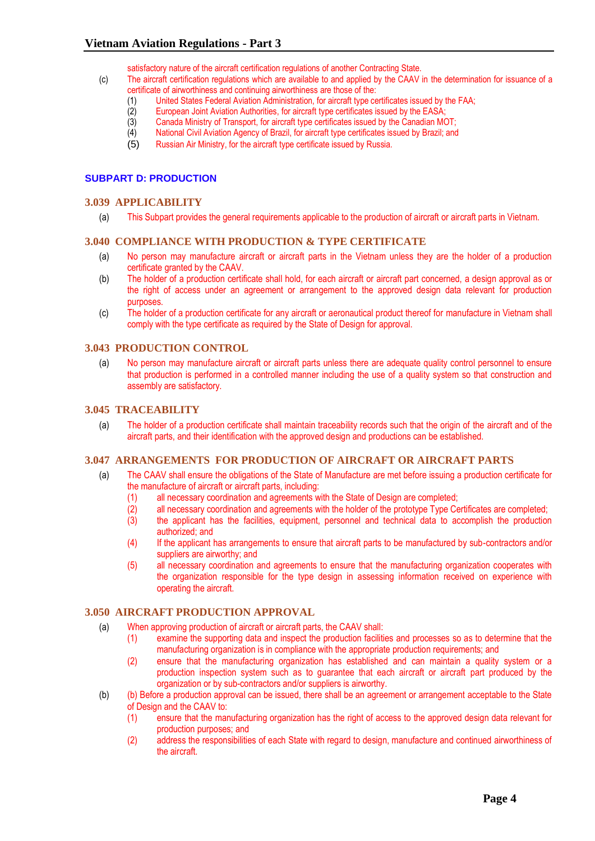satisfactory nature of the aircraft certification regulations of another Contracting State.

- (c) The aircraft certification regulations which are available to and applied by the CAAV in the determination for issuance of a certificate of airworthiness and continuing airworthiness are those of the:
	- (1) United States Federal Aviation Administration, for aircraft type certificates issued by the FAA;
		-
	- (2) European Joint Aviation Authorities, for aircraft type certificates issued by the EASA; Canada Ministry of Transport, for aircraft type certificates issued by the Canadian MOT;
	- (4) National Civil Aviation Agency of Brazil, for aircraft type certificates issued by Brazil; and
	- (5) Russian Air Ministry, for the aircraft type certificate issued by Russia.

## <span id="page-3-1"></span><span id="page-3-0"></span>**SUBPART D: PRODUCTION**

#### **3.039 APPLICABILITY**

(a) This Subpart provides the general requirements applicable to the production of aircraft or aircraft parts in Vietnam.

#### <span id="page-3-2"></span>**3.040 COMPLIANCE WITH PRODUCTION & TYPE CERTIFICATE**

- (a) No person may manufacture aircraft or aircraft parts in the Vietnam unless they are the holder of a production certificate granted by the CAAV.
- (b) The holder of a production certificate shall hold, for each aircraft or aircraft part concerned, a design approval as or the right of access under an agreement or arrangement to the approved design data relevant for production purposes.
- (c) The holder of a production certificate for any aircraft or aeronautical product thereof for manufacture in Vietnam shall comply with the type certificate as required by the State of Design for approval.

## <span id="page-3-3"></span>**3.043 PRODUCTION CONTROL**

(a) No person may manufacture aircraft or aircraft parts unless there are adequate quality control personnel to ensure that production is performed in a controlled manner including the use of a quality system so that construction and assembly are satisfactory.

## <span id="page-3-4"></span>**3.045 TRACEABILITY**

(a) The holder of a production certificate shall maintain traceability records such that the origin of the aircraft and of the aircraft parts, and their identification with the approved design and productions can be established.

#### <span id="page-3-5"></span>**3.047 ARRANGEMENTS FOR PRODUCTION OF AIRCRAFT OR AIRCRAFT PARTS**

- (a) The CAAV shall ensure the obligations of the State of Manufacture are met before issuing a production certificate for the manufacture of aircraft or aircraft parts, including:
	- (1) all necessary coordination and agreements with the State of Design are completed;
	- (2) all necessary coordination and agreements with the holder of the prototype Type Certificates are completed;
	- $(3)$  the applicant has the facilities, equipment, personnel and technical data to accomplish the production authorized; and
	- (4) If the applicant has arrangements to ensure that aircraft parts to be manufactured by sub-contractors and/or suppliers are airworthy; and
	- (5) all necessary coordination and agreements to ensure that the manufacturing organization cooperates with the organization responsible for the type design in assessing information received on experience with operating the aircraft.

#### <span id="page-3-6"></span>**3.050 AIRCRAFT PRODUCTION APPROVAL**

- (a) When approving production of aircraft or aircraft parts, the CAAV shall:
	- (1) examine the supporting data and inspect the production facilities and processes so as to determine that the manufacturing organization is in compliance with the appropriate production requirements; and
	- (2) ensure that the manufacturing organization has established and can maintain a quality system or a production inspection system such as to guarantee that each aircraft or aircraft part produced by the organization or by sub-contractors and/or suppliers is airworthy.
- (b) (b) Before a production approval can be issued, there shall be an agreement or arrangement acceptable to the State of Design and the CAAV to:
	- (1) ensure that the manufacturing organization has the right of access to the approved design data relevant for production purposes; and
	- (2) address the responsibilities of each State with regard to design, manufacture and continued airworthiness of the aircraft.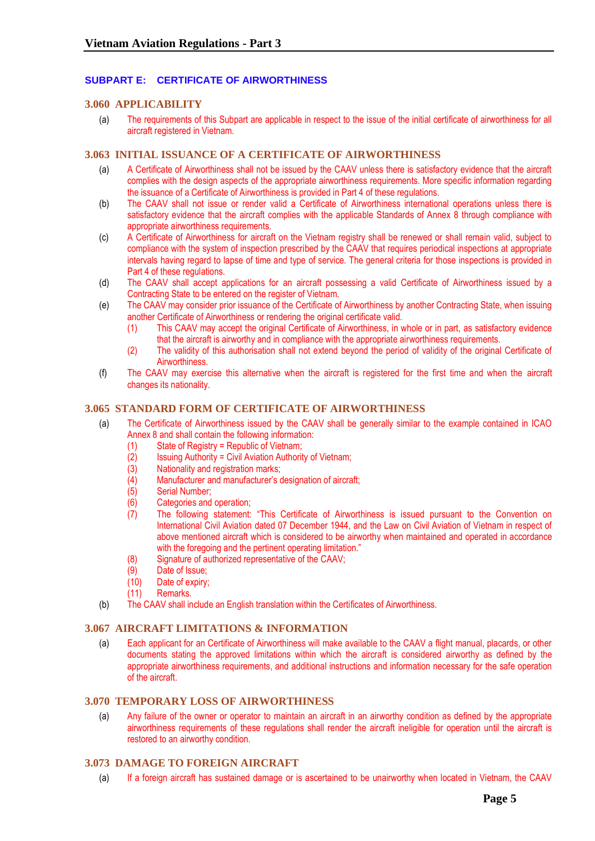# <span id="page-4-0"></span>**SUBPART E: CERTIFICATE OF AIRWORTHINESS**

# <span id="page-4-1"></span>**3.060 APPLICABILITY**

(a) The requirements of this Subpart are applicable in respect to the issue of the initial certificate of airworthiness for all aircraft registered in Vietnam.

## <span id="page-4-2"></span>**3.063 INITIAL ISSUANCE OF A CERTIFICATE OF AIRWORTHINESS**

- (a) A Certificate of Airworthiness shall not be issued by the CAAV unless there is satisfactory evidence that the aircraft complies with the design aspects of the appropriate airworthiness requirements. More specific information regarding the issuance of a Certificate of Airworthiness is provided in Part 4 of these regulations.
- (b) The CAAV shall not issue or render valid a Certificate of Airworthiness international operations unless there is satisfactory evidence that the aircraft complies with the applicable Standards of Annex 8 through compliance with appropriate airworthiness requirements.
- (c) A Certificate of Airworthiness for aircraft on the Vietnam registry shall be renewed or shall remain valid, subject to compliance with the system of inspection prescribed by the CAAV that requires periodical inspections at appropriate intervals having regard to lapse of time and type of service. The general criteria for those inspections is provided in Part 4 of these regulations.
- (d) The CAAV shall accept applications for an aircraft possessing a valid Certificate of Airworthiness issued by a Contracting State to be entered on the register of Vietnam.
- (e) The CAAV may consider prior issuance of the Certificate of Airworthiness by another Contracting State, when issuing another Certificate of Airworthiness or rendering the original certificate valid.
	- (1) This CAAV may accept the original Certificate of Airworthiness, in whole or in part, as satisfactory evidence that the aircraft is airworthy and in compliance with the appropriate airworthiness requirements.
	- (2) The validity of this authorisation shall not extend beyond the period of validity of the original Certificate of Airworthiness.
- (f) The CAAV may exercise this alternative when the aircraft is registered for the first time and when the aircraft changes its nationality.

## <span id="page-4-3"></span>**3.065 STANDARD FORM OF CERTIFICATE OF AIRWORTHINESS**

- (a) The Certificate of Airworthiness issued by the CAAV shall be generally similar to the example contained in ICAO Annex 8 and shall contain the following information:
	- $(1)$  State of Registry = Republic of Vietnam;
	- $(2)$  Issuing Authority = Civil Aviation Authority of Vietnam;
	- (3) Nationality and registration marks;
	- (4) Manufacturer and manufacturer's designation of aircraft;
	- (5) Serial Number;
	- (6) Categories and operation;
	- (7) The following statement: "This Certificate of Airworthiness is issued pursuant to the Convention on International Civil Aviation dated 07 December 1944, and the Law on Civil Aviation of Vietnam in respect of above mentioned aircraft which is considered to be airworthy when maintained and operated in accordance with the foregoing and the pertinent operating limitation."
	- (8) Signature of authorized representative of the CAAV;
	- (9) Date of Issue;
	- (10) Date of expiry;
	- (11) Remarks.
- (b) The CAAV shall include an English translation within the Certificates of Airworthiness.

## <span id="page-4-4"></span>**3.067 AIRCRAFT LIMITATIONS & INFORMATION**

(a) Each applicant for an Certificate of Airworthiness will make available to the CAAV a flight manual, placards, or other documents stating the approved limitations within which the aircraft is considered airworthy as defined by the appropriate airworthiness requirements, and additional instructions and information necessary for the safe operation of the aircraft.

#### <span id="page-4-5"></span>**3.070 TEMPORARY LOSS OF AIRWORTHINESS**

(a) Any failure of the owner or operator to maintain an aircraft in an airworthy condition as defined by the appropriate airworthiness requirements of these regulations shall render the aircraft ineligible for operation until the aircraft is restored to an airworthy condition.

# <span id="page-4-6"></span>**3.073 DAMAGE TO FOREIGN AIRCRAFT**

(a) If a foreign aircraft has sustained damage or is ascertained to be unairworthy when located in Vietnam, the CAAV